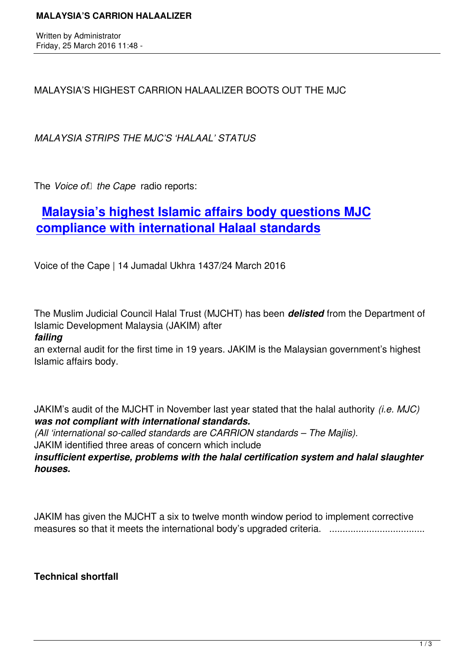MALAYSIA'S HIGHEST CARRION HALAALIZER BOOTS OUT THE MJC

*MALAYSIA STRIPS THE MJC'S 'HALAAL' STATUS*

The *Voice of the Cape* radio reports:

# **Malaysia's highest Islamic affairs body questions MJC compliance with international Halaal standards**

[Voice of the Cape | 14 Jumadal Ukhra 1437/24 March 2016](http://www.ciibroadcasting.com/2016/03/24/malaysias-highest-islamic-affairs-body-questions-mjc-compliance-with-international-halaal-standards/)

The Muslim Judicial Council Halal Trust (MJCHT) has been *delisted* from the Department of Islamic Development Malaysia (JAKIM) after

### *failing*

an external audit for the first time in 19 years. JAKIM is the Malaysian government's highest Islamic affairs body.

JAKIM's audit of the MJCHT in November last year stated that the halal authority *(i.e. MJC) was not compliant with international standards.*

*(All 'international so-called standards are CARRION standards – The Majlis).*  JAKIM identified three areas of concern which include

*insufficient expertise, problems with the halal certification system and halal slaughter houses.*

JAKIM has given the MJCHT a six to twelve month window period to implement corrective measures so that it meets the international body's upgraded criteria. ....................................

**Technical shortfall**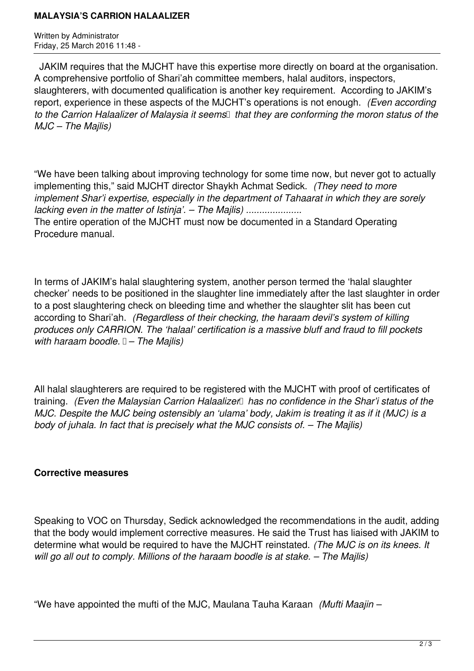#### **MALAYSIA'S CARRION HALAALIZER**

Written by Administrator Friday, 25 March 2016 11:48 -

 JAKIM requires that the MJCHT have this expertise more directly on board at the organisation. A comprehensive portfolio of Shari'ah committee members, halal auditors, inspectors, slaughterers, with documented qualification is another key requirement. According to JAKIM's report, experience in these aspects of the MJCHT's operations is not enough. *(Even according* to the Carrion Halaalizer of Malaysia it seems<sup>
I</sup> that they are conforming the moron status of the *MJC – The Majlis)*

"We have been talking about improving technology for some time now, but never got to actually implementing this," said MJCHT director Shaykh Achmat Sedick. *(They need to more implement Shar'i expertise, especially in the department of Tahaarat in which they are sorely lacking even in the matter of Istinja'. – The Majlis) .....................* The entire operation of the MJCHT must now be documented in a Standard Operating Procedure manual.

In terms of JAKIM's halal slaughtering system, another person termed the 'halal slaughter checker' needs to be positioned in the slaughter line immediately after the last slaughter in order to a post slaughtering check on bleeding time and whether the slaughter slit has been cut according to Shari'ah. *(Regardless of their checking, the haraam devil's system of killing produces only CARRION. The 'halaal' certification is a massive bluff and fraud to fill pockets with haraam boodle. – The Majlis)* 

All halal slaughterers are required to be registered with the MJCHT with proof of certificates of training. *(Even the Malaysian Carrion Halaalizer* has no confidence in the Shar'i status of the *MJC. Despite the MJC being ostensibly an 'ulama' body, Jakim is treating it as if it (MJC) is a body of juhala. In fact that is precisely what the MJC consists of. – The Majlis)*

## **Corrective measures**

Speaking to VOC on Thursday, Sedick acknowledged the recommendations in the audit, adding that the body would implement corrective measures. He said the Trust has liaised with JAKIM to determine what would be required to have the MJCHT reinstated. *(The MJC is on its knees. It will go all out to comply. Millions of the haraam boodle is at stake. – The Majlis)*

"We have appointed the mufti of the MJC, Maulana Tauha Karaan *(Mufti Maajin –*